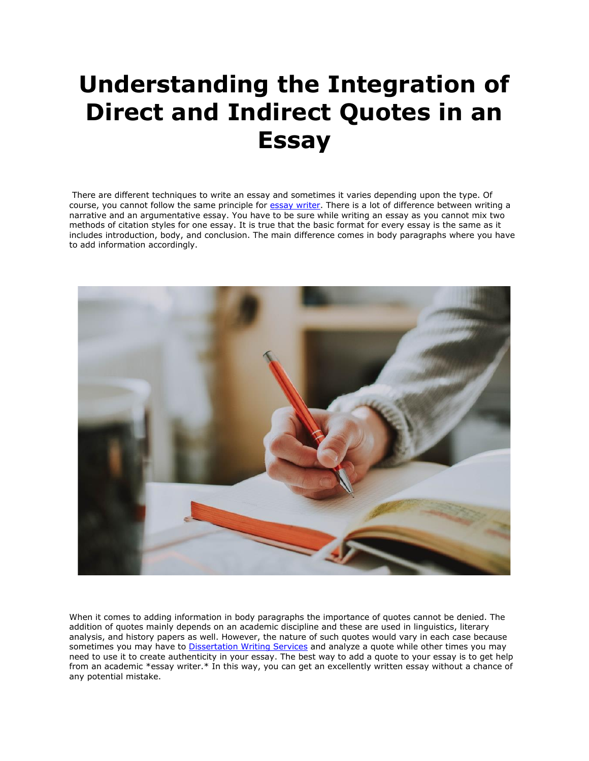## **Understanding the Integration of Direct and Indirect Quotes in an Essay**

There are different techniques to write an essay and sometimes it varies depending upon the type. Of course, you cannot follow the same principle for [essay writer.](https://youressaywriter.net/) There is a lot of difference between writing a narrative and an argumentative essay. You have to be sure while writing an essay as you cannot mix two methods of citation styles for one essay. It is true that the basic format for every essay is the same as it includes introduction, body, and conclusion. The main difference comes in body paragraphs where you have to add information accordingly.



When it comes to adding information in body paragraphs the importance of quotes cannot be denied. The addition of quotes mainly depends on an academic discipline and these are used in linguistics, literary analysis, and history papers as well. However, the nature of such quotes would vary in each case because sometimes you may have to [Dissertation Writing Services](https://gradschoolgenius.com/) and analyze a quote while other times you may need to use it to create authenticity in your essay. The best way to add a quote to your essay is to get help from an academic \*essay writer.\* In this way, you can get an excellently written essay without a chance of any potential mistake.